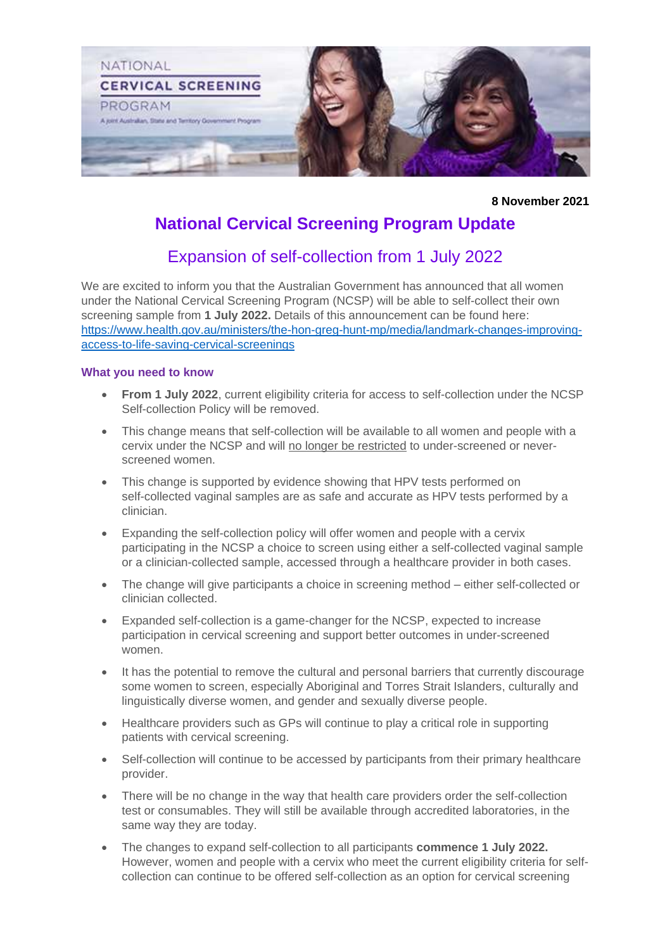

**8 November 2021**

# **National Cervical Screening Program Update**

## Expansion of self-collection from 1 July 2022

We are excited to inform you that the Australian Government has announced that all women under the National Cervical Screening Program (NCSP) will be able to self-collect their own screening sample from **1 July 2022.** Details of this announcement can be found here: [https://www.health.gov.au/ministers/the-hon-greg-hunt-mp/media/landmark-changes-improving](https://www.health.gov.au/ministers/the-hon-greg-hunt-mp/media/landmark-changes-improving-access-to-life-saving-cervical-screenings)[access-to-life-saving-cervical-screenings](https://www.health.gov.au/ministers/the-hon-greg-hunt-mp/media/landmark-changes-improving-access-to-life-saving-cervical-screenings)

#### **What you need to know**

- **From 1 July 2022**, current eligibility criteria for access to self-collection under the NCSP Self-collection Policy will be removed.
- This change means that self-collection will be available to all women and people with a cervix under the NCSP and will no longer be restricted to under-screened or neverscreened women.
- This change is supported by evidence showing that HPV tests performed on self-collected vaginal samples are as safe and accurate as HPV tests performed by a clinician.
- Expanding the self-collection policy will offer women and people with a cervix participating in the NCSP a choice to screen using either a self-collected vaginal sample or a clinician-collected sample, accessed through a healthcare provider in both cases.
- The change will give participants a choice in screening method either self-collected or clinician collected.
- Expanded self-collection is a game-changer for the NCSP, expected to increase participation in cervical screening and support better outcomes in under-screened women.
- It has the potential to remove the cultural and personal barriers that currently discourage some women to screen, especially Aboriginal and Torres Strait Islanders, culturally and linguistically diverse women, and gender and sexually diverse people.
- Healthcare providers such as GPs will continue to play a critical role in supporting patients with cervical screening.
- Self-collection will continue to be accessed by participants from their primary healthcare provider.
- There will be no change in the way that health care providers order the self-collection test or consumables. They will still be available through accredited laboratories, in the same way they are today.
- The changes to expand self-collection to all participants **commence 1 July 2022.**  However, women and people with a cervix who meet the current eligibility criteria for selfcollection can continue to be offered self-collection as an option for cervical screening